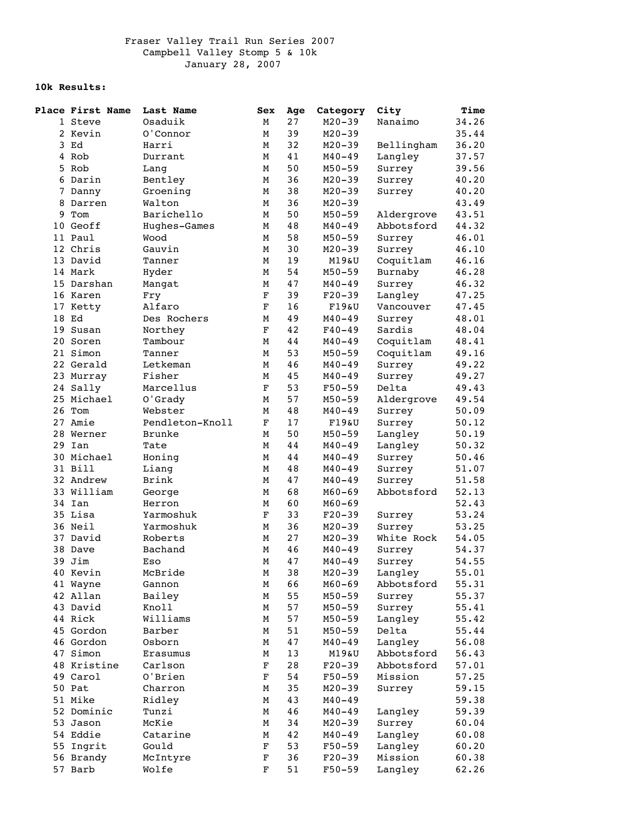## **10k Results:**

|   | <b>Place First Name</b> | Last Name       | Sex         | Age | Category   | City       | Time  |
|---|-------------------------|-----------------|-------------|-----|------------|------------|-------|
|   | 1 Steve                 | Osaduik         | М           | 27  | $M20 - 39$ | Nanaimo    | 34.26 |
|   | 2 Kevin                 | 0'Connor        | М           | 39  | $M20 - 39$ |            | 35.44 |
|   | 3 Ed                    | Harri           | М           | 32  | $M20 - 39$ | Bellingham | 36.20 |
|   | 4 Rob                   | Durrant         | М           | 41  | $M40 - 49$ | Langley    | 37.57 |
|   | 5 Rob                   | Lang            | М           | 50  | $M50 - 59$ | Surrey     | 39.56 |
|   | 6 Darin                 | Bentley         | М           | 36  | $M20 - 39$ | Surrey     | 40.20 |
|   | 7 Danny                 | Groening        | М           | 38  | $M20 - 39$ | Surrey     | 40.20 |
| 8 | Darren                  | Walton          | М           | 36  | $M20 - 39$ |            | 43.49 |
| 9 | Tom                     | Barichello      | М           | 50  | $M50 - 59$ | Aldergrove | 43.51 |
|   | 10 Geoff                | Hughes-Games    | М           | 48  | $M40 - 49$ | Abbotsford | 44.32 |
|   | 11 Paul                 | Wood            | М           | 58  | $M50 - 59$ | Surrey     | 46.01 |
|   | 12 Chris                | Gauvin          | М           | 30  | $M20 - 39$ | Surrey     | 46.10 |
|   | 13 David                | Tanner          | М           | 19  | M19&U      | Coquitlam  | 46.16 |
|   | 14 Mark                 | Hyder           | М           | 54  | $M50 - 59$ | Burnaby    | 46.28 |
|   | 15 Darshan              | Mangat          | М           | 47  | $M40 - 49$ | Surrey     | 46.32 |
|   | 16 Karen                | Fry             | $\mathbf F$ | 39  | $F20-39$   | Langley    | 47.25 |
|   | 17 Ketty                | Alfaro          | $\mathbf F$ | 16  | F19&U      | Vancouver  | 47.45 |
|   | 18 Ed                   | Des Rochers     | М           | 49  | $M40 - 49$ | Surrey     | 48.01 |
|   | 19 Susan                | Northey         | $\mathbf F$ | 42  | $F40 - 49$ | Sardis     | 48.04 |
|   | 20 Soren                | Tambour         | М           | 44  | $M40 - 49$ | Coquitlam  | 48.41 |
|   | 21 Simon                | Tanner          | М           | 53  | $M50 - 59$ | Coquitlam  | 49.16 |
|   | 22 Gerald               | Letkeman        | М           | 46  | $M40 - 49$ | Surrey     | 49.22 |
|   | 23 Murray               | Fisher          | М           | 45  | $M40 - 49$ | Surrey     | 49.27 |
|   | 24 Sally                | Marcellus       | $\mathbf F$ | 53  | $F50 - 59$ | Delta      | 49.43 |
|   | 25 Michael              | O'Grady         | М           | 57  | $M50 - 59$ | Aldergrove | 49.54 |
|   | 26 Tom                  | Webster         | М           | 48  | $M40 - 49$ | Surrey     | 50.09 |
|   | 27 Amie                 | Pendleton-Knoll | F           | 17  | F19&U      | Surrey     | 50.12 |
|   | 28 Werner               | <b>Brunke</b>   | М           | 50  | $M50 - 59$ | Langley    | 50.19 |
|   | 29 Ian                  | Tate            | М           | 44  | $M40 - 49$ | Langley    | 50.32 |
|   | 30 Michael              | Honing          | М           | 44  | $M40 - 49$ | Surrey     | 50.46 |
|   | 31 Bill                 | Liang           | М           | 48  | $M40 - 49$ | Surrey     | 51.07 |
|   | 32 Andrew               | Brink           | М           | 47  | $M40 - 49$ | Surrey     | 51.58 |
|   | 33 William              | George          | М           | 68  | $M60 - 69$ | Abbotsford | 52.13 |
|   | 34 Ian                  | Herron          | М           | 60  | $M60 - 69$ |            | 52.43 |
|   | 35 Lisa                 | Yarmoshuk       | $\mathbf F$ | 33  | $F20-39$   | Surrey     | 53.24 |
|   | 36 Neil                 | Yarmoshuk       | М           | 36  | $M20 - 39$ | Surrey     | 53.25 |
|   | 37 David                | Roberts         | М           | 27  | $M20 - 39$ | White Rock | 54.05 |
|   | 38 Dave                 | Bachand         | М           | 46  | $M40 - 49$ | Surrey     | 54.37 |
|   | 39 Jim                  | Eso             | М           | 47  | $M40 - 49$ | Surrey     | 54.55 |
|   | 40 Kevin                | McBride         | М           | 38  | $M20 - 39$ | Langley    | 55.01 |
|   | 41 Wayne                | Gannon          | М           | 66  | $M60 - 69$ | Abbotsford | 55.31 |
|   | 42 Allan                | Bailey          | М           | 55  | $M50 - 59$ | Surrey     | 55.37 |
|   | 43 David                | Knoll           | М           | 57  | $M50 - 59$ | Surrey     | 55.41 |
|   | 44 Rick                 | Williams        | М           | 57  | $M50 - 59$ | Langley    | 55.42 |
|   | 45 Gordon               | Barber          | М           | 51  | $M50 - 59$ | Delta      | 55.44 |
|   | 46 Gordon               | Osborn          | М           | 47  | $M40 - 49$ | Langley    | 56.08 |
|   | 47 Simon                | Erasumus        | М           | 13  | M19&U      | Abbotsford | 56.43 |
|   | 48 Kristine             | Carlson         | $\mathbf F$ | 28  | $F20-39$   | Abbotsford | 57.01 |
|   | 49 Carol                | O'Brien         | $\mathbf F$ | 54  | $F50 - 59$ | Mission    | 57.25 |
|   | 50 Pat                  | Charron         | М           | 35  | $M20 - 39$ | Surrey     | 59.15 |
|   | 51 Mike                 | Ridley          | М           | 43  | $M40 - 49$ |            | 59.38 |
|   | 52 Dominic              | Tunzi           | М           | 46  | $M40 - 49$ | Langley    | 59.39 |
|   | 53 Jason                | McKie           | М           | 34  | $M20-39$   | Surrey     | 60.04 |
|   | 54 Eddie                | Catarine        | М           | 42  | $M40 - 49$ | Langley    | 60.08 |
|   | 55 Ingrit               | Gould           | $\mathbf F$ | 53  | $F50 - 59$ | Langley    | 60.20 |
|   | 56 Brandy               | McIntyre        | F           | 36  | $F20-39$   | Mission    | 60.38 |
|   | 57 Barb                 | Wolfe           | $\mathbf F$ | 51  | $F50 - 59$ | Langley    | 62.26 |
|   |                         |                 |             |     |            |            |       |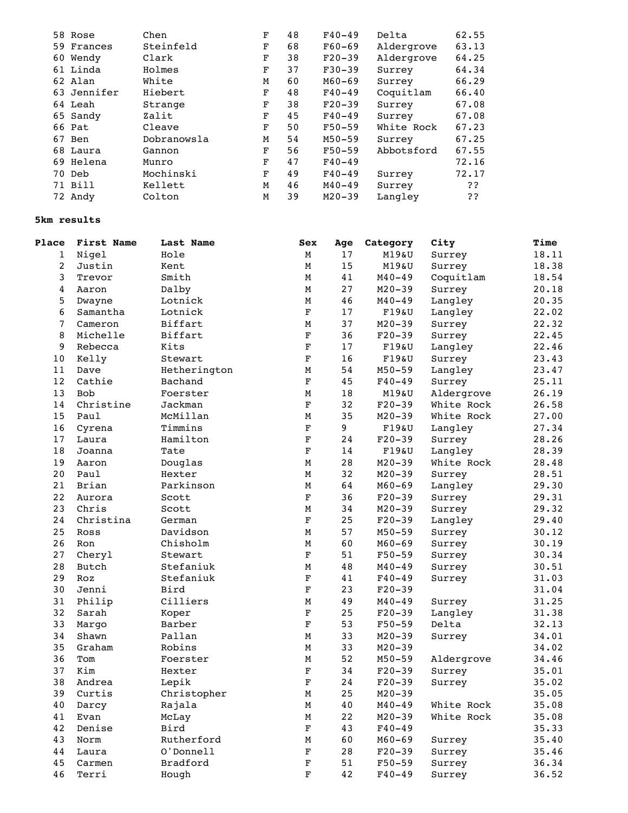|  | 58 Rose     | Chen        | F | 48 | $F40 - 49$ | Delta      | 62.55 |
|--|-------------|-------------|---|----|------------|------------|-------|
|  | 59 Frances  | Steinfeld   | F | 68 | $F60-69$   | Aldergrove | 63.13 |
|  | 60 Wendy    | Clark       | F | 38 | $F20-39$   | Aldergrove | 64.25 |
|  | 61 Linda    | Holmes      | F | 37 | $F30-39$   | Surrey     | 64.34 |
|  | 62 Alan     | White       | M | 60 | $M60 - 69$ | Surrey     | 66.29 |
|  | 63 Jennifer | Hiebert     | F | 48 | $F40 - 49$ | Coquitlam  | 66.40 |
|  | 64 Leah     | Strange     | F | 38 | $F20-39$   | Surrey     | 67.08 |
|  | 65 Sandy    | Zalit       | F | 45 | $F40 - 49$ | Surrey     | 67.08 |
|  | 66 Pat      | Cleave      | F | 50 | $F50-59$   | White Rock | 67.23 |
|  | 67 Ben      | Dobranowsla | M | 54 | $M50 - 59$ | Surrey     | 67.25 |
|  | 68 Laura    | Gannon      | F | 56 | $F50-59$   | Abbotsford | 67.55 |
|  | 69 Helena   | Munro       | F | 47 | $F40 - 49$ |            | 72.16 |
|  | 70 Deb      | Mochinski   | F | 49 | $F40 - 49$ | Surrey     | 72.17 |
|  | 71 Bill     | Kellett     | М | 46 | $M40 - 49$ | Surrey     | ??    |
|  | 72 Andy     | Colton      | М | 39 | $M20 - 39$ | Langley    | ??    |
|  |             |             |   |    |            |            |       |

## **5km results**

| Place          | First Name | Last Name    | Sex         | Age  | Category   | City       | <b>Time</b> |
|----------------|------------|--------------|-------------|------|------------|------------|-------------|
| 1              | Nigel      | Hole         | М           | 17   | M19&U      | Surrey     | 18.11       |
| $\overline{c}$ | Justin     | Kent         | М           | 15   | M19&U      | Surrey     | 18.38       |
| 3              | Trevor     | Smith        | М           | 41   | $M40 - 49$ | Coquitlam  | 18.54       |
| 4              | Aaron      | Dalby        | М           | 27   | $M20 - 39$ | Surrey     | 20.18       |
| 5              | Dwayne     | Lotnick      | М           | 46   | $M40 - 49$ | Langley    | 20.35       |
| 6              | Samantha   | Lotnick      | $\mathbf F$ | 17   | $F19\&U$   | Langley    | 22.02       |
| 7              | Cameron    | Biffart      | M           | 37   | $M20 - 39$ | Surrey     | 22.32       |
| 8              | Michelle   | Biffart      | $\mathbf F$ | 36   | $F20-39$   | Surrey     | 22.45       |
| 9              | Rebecca    | Kits         | $\mathbf F$ | $17$ | $F19\&U$   | Langley    | 22.46       |
| 10             | Kelly      | Stewart      | $\mathbf F$ | 16   | F19&U      | Surrey     | 23.43       |
| 11             | Dave       | Hetherington | М           | 54   | $M50 - 59$ | Langley    | 23.47       |
| 12             | Cathie     | Bachand      | $\mathbf F$ | 45   | $F40 - 49$ | Surrey     | 25.11       |
| 13             | <b>Bob</b> | Foerster     | M           | 18   | M19&U      | Aldergrove | 26.19       |
| 14             | Christine  | Jackman      | $\mathbf F$ | 32   | $F20-39$   | White Rock | 26.58       |
| 15             | Paul       | McMillan     | М           | 35   | $M20 - 39$ | White Rock | 27.00       |
| 16             | Cyrena     | Timmins      | $\mathbf F$ | 9    | $F19\&U$   | Langley    | 27.34       |
| 17             | Laura      | Hamilton     | $\mathbf F$ | 24   | $F20-39$   | Surrey     | 28.26       |
| 18             | Joanna     | Tate         | $\mathbf F$ | 14   | F19&U      | Langley    | 28.39       |
| 19             | Aaron      | Douglas      | $\mathbf M$ | 28   | $M20 - 39$ | White Rock | 28.48       |
| 20             | Paul       | Hexter       | М           | 32   | $M20 - 39$ | Surrey     | 28.51       |
| 21             | Brian      | Parkinson    | $\mathbf M$ | 64   | $M60 - 69$ | Langley    | 29.30       |
| 22             | Aurora     | Scott        | $\mathbf F$ | 36   | $F20-39$   | Surrey     | 29.31       |
| 23             | Chris      | Scott        | М           | 34   | $M20 - 39$ | Surrey     | 29.32       |
| 24             | Christina  | German       | $\mathbf F$ | 25   | $F20-39$   | Langley    | 29.40       |
| 25             | Ross       | Davidson     | $\mathbf M$ | 57   | $M50 - 59$ | Surrey     | 30.12       |
| 26             | Ron        | Chisholm     | М           | 60   | $M60 - 69$ | Surrey     | 30.19       |
| 27             | Cheryl     | Stewart      | $\mathbf F$ | 51   | $F50 - 59$ | Surrey     | 30.34       |
| 28             | Butch      | Stefaniuk    | М           | 48   | $M40 - 49$ | Surrey     | 30.51       |
| 29             | Roz        | Stefaniuk    | $\mathbf F$ | 41   | $F40 - 49$ | Surrey     | 31.03       |
| 30             | Jenni      | Bird         | $\mathbf F$ | 23   | $F20-39$   |            | 31.04       |
| 31             | Philip     | Cilliers     | M           | 49   | $M40 - 49$ | Surrey     | 31.25       |
| 32             | Sarah      | Koper        | $\mathbf F$ | 25   | $F20-39$   | Langley    | 31.38       |
| 33             | Margo      | Barber       | $\mathbf F$ | 53   | $F50 - 59$ | Delta      | 32.13       |
| 34             | Shawn      | Pallan       | $\mathbf M$ | 33   | $M20 - 39$ | Surrey     | 34.01       |
| 35             | Graham     | Robins       | М           | 33   | $M20 - 39$ |            | 34.02       |
| 36             | Tom        | Foerster     | М           | 52   | $M50 - 59$ | Aldergrove | 34.46       |
| 37             | Kim        | Hexter       | $\mathbf F$ | 34   | $F20-39$   | Surrey     | 35.01       |
| 38             | Andrea     | Lepik        | $\mathbf F$ | 24   | $F20-39$   | Surrey     | 35.02       |
| 39             | Curtis     | Christopher  | М           | 25   | $M20 - 39$ |            | 35.05       |
| 40             | Darcy      | Rajala       | М           | $40$ | $M40 - 49$ | White Rock | 35.08       |
| 41             | Evan       | McLay        | M           | 22   | $M20 - 39$ | White Rock | 35.08       |
| 42             | Denise     | Bird         | $\mathbf F$ | 43   | $F40 - 49$ |            | 35.33       |
| 43             | Norm       | Rutherford   | M           | 60   | $M60 - 69$ | Surrey     | 35.40       |
| 44             | Laura      | O'Donnell    | $\mathbf F$ | 28   | $F20-39$   | Surrey     | 35.46       |
| 45             | Carmen     | Bradford     | $\mathbf F$ | 51   | $F50 - 59$ | Surrey     | 36.34       |
| 46             | Terri      | Hough        | $\mathbf F$ | 42   | $F40 - 49$ | Surrey     | 36.52       |